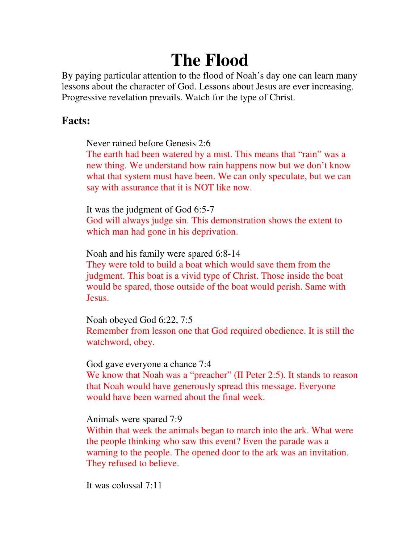# **The Flood**

By paying particular attention to the flood of Noah's day one can learn many lessons about the character of God. Lessons about Jesus are ever increasing. Progressive revelation prevails. Watch for the type of Christ.

### **Facts:**

Never rained before Genesis 2:6

The earth had been watered by a mist. This means that "rain" was a new thing. We understand how rain happens now but we don't know what that system must have been. We can only speculate, but we can say with assurance that it is NOT like now.

It was the judgment of God 6:5-7

God will always judge sin. This demonstration shows the extent to which man had gone in his deprivation.

Noah and his family were spared 6:8-14

They were told to build a boat which would save them from the judgment. This boat is a vivid type of Christ. Those inside the boat would be spared, those outside of the boat would perish. Same with Jesus.

Noah obeyed God 6:22, 7:5 Remember from lesson one that God required obedience. It is still the watchword, obey.

God gave everyone a chance 7:4

We know that Noah was a "preacher" (II Peter 2:5). It stands to reason that Noah would have generously spread this message. Everyone would have been warned about the final week.

Animals were spared 7:9

Within that week the animals began to march into the ark. What were the people thinking who saw this event? Even the parade was a warning to the people. The opened door to the ark was an invitation. They refused to believe.

It was colossal 7:11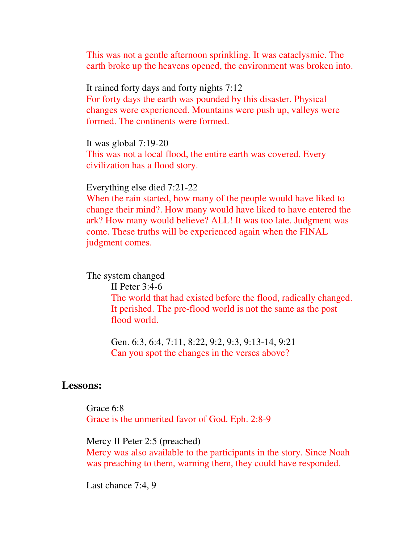This was not a gentle afternoon sprinkling. It was cataclysmic. The earth broke up the heavens opened, the environment was broken into.

It rained forty days and forty nights 7:12 For forty days the earth was pounded by this disaster. Physical changes were experienced. Mountains were push up, valleys were formed. The continents were formed.

It was global 7:19-20 This was not a local flood, the entire earth was covered. Every civilization has a flood story.

Everything else died 7:21-22

When the rain started, how many of the people would have liked to change their mind?. How many would have liked to have entered the ark? How many would believe? ALL! It was too late. Judgment was come. These truths will be experienced again when the FINAL judgment comes.

The system changed

 II Peter 3:4-6 The world that had existed before the flood, radically changed. It perished. The pre-flood world is not the same as the post flood world.

Gen. 6:3, 6:4, 7:11, 8:22, 9:2, 9:3, 9:13-14, 9:21 Can you spot the changes in the verses above?

#### **Lessons:**

Grace 6:8 Grace is the unmerited favor of God. Eph. 2:8-9

Mercy II Peter 2:5 (preached)

Mercy was also available to the participants in the story. Since Noah was preaching to them, warning them, they could have responded.

Last chance 7:4, 9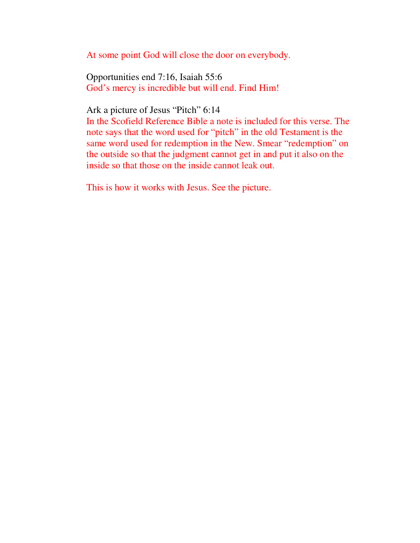At some point God will close the door on everybody.

Opportunities end 7:16, Isaiah 55:6 God's mercy is incredible but will end. Find Him!

Ark a picture of Jesus "Pitch" 6:14

In the Scofield Reference Bible a note is included for this verse. The note says that the word used for "pitch" in the old Testament is the same word used for redemption in the New. Smear "redemption" on the outside so that the judgment cannot get in and put it also on the inside so that those on the inside cannot leak out.

This is how it works with Jesus. See the picture.